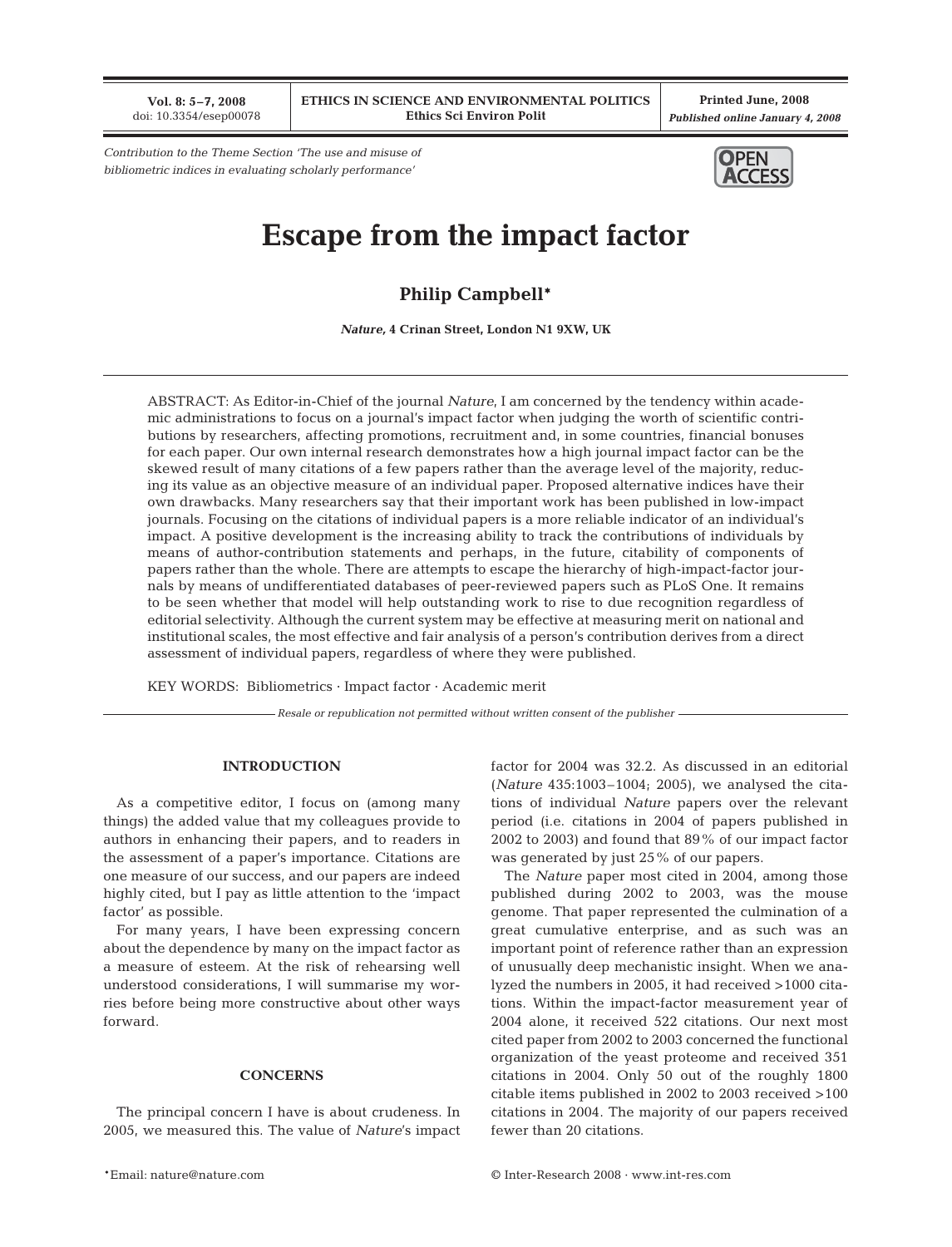**Vol. 8: 5–7, 2008** doi: 10.3354/esep00078

**Printed June, 2008** *Published online January 4, 2008*

*Contribution to the Theme Section 'The use and misuse of bibliometric indices in evaluating scholarly performance'*



# **Escape from the impact factor**

**Philip Campbell\***

*Nature,* **4 Crinan Street, London N1 9XW, UK**

ABSTRACT: As Editor-in-Chief of the journal *Nature*, I am concerned by the tendency within academic administrations to focus on a journal's impact factor when judging the worth of scientific contributions by researchers, affecting promotions, recruitment and, in some countries, financial bonuses for each paper. Our own internal research demonstrates how a high journal impact factor can be the skewed result of many citations of a few papers rather than the average level of the majority, reducing its value as an objective measure of an individual paper. Proposed alternative indices have their own drawbacks. Many researchers say that their important work has been published in low-impact journals. Focusing on the citations of individual papers is a more reliable indicator of an individual's impact. A positive development is the increasing ability to track the contributions of individuals by means of author-contribution statements and perhaps, in the future, citability of components of papers rather than the whole. There are attempts to escape the hierarchy of high-impact-factor journals by means of undifferentiated databases of peer-reviewed papers such as PLoS One. It remains to be seen whether that model will help outstanding work to rise to due recognition regardless of editorial selectivity. Although the current system may be effective at measuring merit on national and institutional scales, the most effective and fair analysis of a person's contribution derives from a direct assessment of individual papers, regardless of where they were published.

KEY WORDS: Bibliometrics · Impact factor · Academic merit

*Resale or republication not permitted without written consent of the publisher*

## **INTRODUCTION**

As a competitive editor, I focus on (among many things) the added value that my colleagues provide to authors in enhancing their papers, and to readers in the assessment of a paper's importance. Citations are one measure of our success, and our papers are indeed highly cited, but I pay as little attention to the 'impact factor' as possible.

For many years, I have been expressing concern about the dependence by many on the impact factor as a measure of esteem. At the risk of rehearsing well understood considerations, I will summarise my worries before being more constructive about other ways forward.

### **CONCERNS**

The principal concern I have is about crudeness. In 2005, we measured this. The value of *Nature*'s impact

factor for 2004 was 32.2. As discussed in an editorial (*Nature* 435:1003–1004; 2005), we analysed the citations of individual *Nature* papers over the relevant period (i.e. citations in 2004 of papers published in 2002 to 2003) and found that 89% of our impact factor was generated by just 25% of our papers.

The *Nature* paper most cited in 2004, among those published during 2002 to 2003, was the mouse genome. That paper represented the culmination of a great cumulative enterprise, and as such was an important point of reference rather than an expression of unusually deep mechanistic insight. When we analyzed the numbers in 2005, it had received >1000 citations. Within the impact-factor measurement year of 2004 alone, it received 522 citations. Our next most cited paper from 2002 to 2003 concerned the functional organization of the yeast proteome and received 351 citations in 2004. Only 50 out of the roughly 1800 citable items published in 2002 to 2003 received >100 citations in 2004. The majority of our papers received fewer than 20 citations.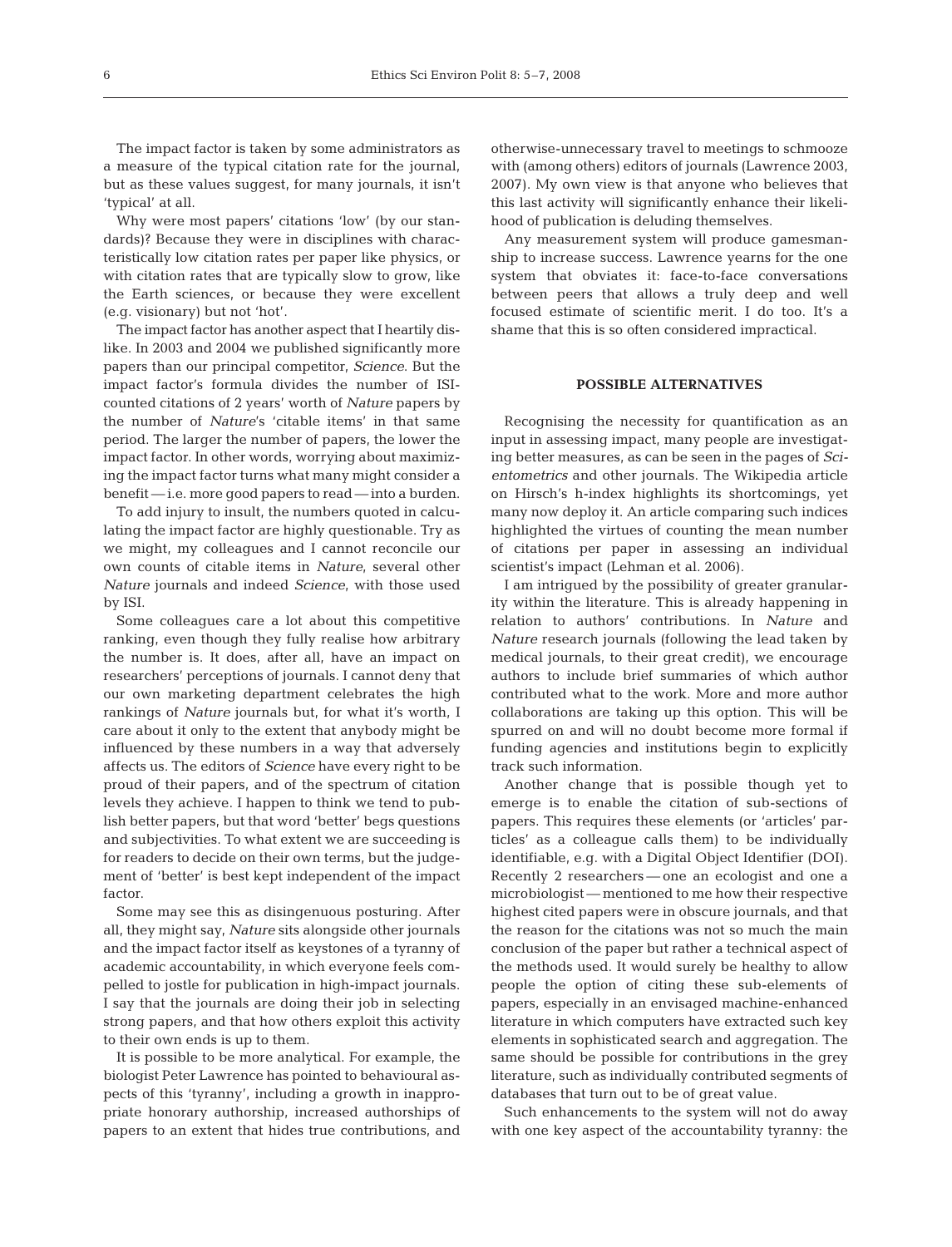The impact factor is taken by some administrators as a measure of the typical citation rate for the journal, but as these values suggest, for many journals, it isn't 'typical' at all.

Why were most papers' citations 'low' (by our standards)? Because they were in disciplines with characteristically low citation rates per paper like physics, or with citation rates that are typically slow to grow, like the Earth sciences, or because they were excellent (e.g. visionary) but not 'hot'.

The impact factor has another aspect that I heartily dislike. In 2003 and 2004 we published significantly more papers than our principal competitor, *Science*. But the impact factor's formula divides the number of ISIcounted citations of 2 years' worth of *Nature* papers by the number of *Nature*'s 'citable items' in that same period. The larger the number of papers, the lower the impact factor. In other words, worrying about maximizing the impact factor turns what many might consider a benefit — i.e. more good papers to read — into a burden.

To add injury to insult, the numbers quoted in calculating the impact factor are highly questionable. Try as we might, my colleagues and I cannot reconcile our own counts of citable items in *Nature*, several other *Nature* journals and indeed *Science*, with those used by ISI.

Some colleagues care a lot about this competitive ranking, even though they fully realise how arbitrary the number is. It does, after all, have an impact on researchers' perceptions of journals. I cannot deny that our own marketing department celebrates the high rankings of *Nature* journals but, for what it's worth, I care about it only to the extent that anybody might be influenced by these numbers in a way that adversely affects us. The editors of *Science* have every right to be proud of their papers, and of the spectrum of citation levels they achieve. I happen to think we tend to publish better papers, but that word 'better' begs questions and subjectivities. To what extent we are succeeding is for readers to decide on their own terms, but the judgement of 'better' is best kept independent of the impact factor.

Some may see this as disingenuous posturing. After all, they might say, *Nature* sits alongside other journals and the impact factor itself as keystones of a tyranny of academic accountability, in which everyone feels compelled to jostle for publication in high-impact journals. I say that the journals are doing their job in selecting strong papers, and that how others exploit this activity to their own ends is up to them.

It is possible to be more analytical. For example, the biologist Peter Lawrence has pointed to behavioural aspects of this 'tyranny', including a growth in inappropriate honorary authorship, increased authorships of papers to an extent that hides true contributions, and

otherwise-unnecessary travel to meetings to schmooze with (among others) editors of journals (Lawrence 2003, 2007). My own view is that anyone who believes that this last activity will significantly enhance their likelihood of publication is deluding themselves.

Any measurement system will produce gamesmanship to increase success. Lawrence yearns for the one system that obviates it: face-to-face conversations between peers that allows a truly deep and well focused estimate of scientific merit. I do too. It's a shame that this is so often considered impractical.

### **POSSIBLE ALTERNATIVES**

Recognising the necessity for quantification as an input in assessing impact, many people are investigating better measures, as can be seen in the pages of *Scientometrics* and other journals. The Wikipedia article on Hirsch's h-index highlights its shortcomings, yet many now deploy it. An article comparing such indices highlighted the virtues of counting the mean number of citations per paper in assessing an individual scientist's impact (Lehman et al. 2006).

I am intrigued by the possibility of greater granularity within the literature. This is already happening in relation to authors' contributions. In *Nature* and *Nature* research journals (following the lead taken by medical journals, to their great credit), we encourage authors to include brief summaries of which author contributed what to the work. More and more author collaborations are taking up this option. This will be spurred on and will no doubt become more formal if funding agencies and institutions begin to explicitly track such information.

Another change that is possible though yet to emerge is to enable the citation of sub-sections of papers. This requires these elements (or 'articles' particles' as a colleague calls them) to be individually identifiable, e.g. with a Digital Object Identifier (DOI). Recently 2 researchers — one an ecologist and one a microbiologist — mentioned to me how their respective highest cited papers were in obscure journals, and that the reason for the citations was not so much the main conclusion of the paper but rather a technical aspect of the methods used. It would surely be healthy to allow people the option of citing these sub-elements of papers, especially in an envisaged machine-enhanced literature in which computers have extracted such key elements in sophisticated search and aggregation. The same should be possible for contributions in the grey literature, such as individually contributed segments of databases that turn out to be of great value.

Such enhancements to the system will not do away with one key aspect of the accountability tyranny: the